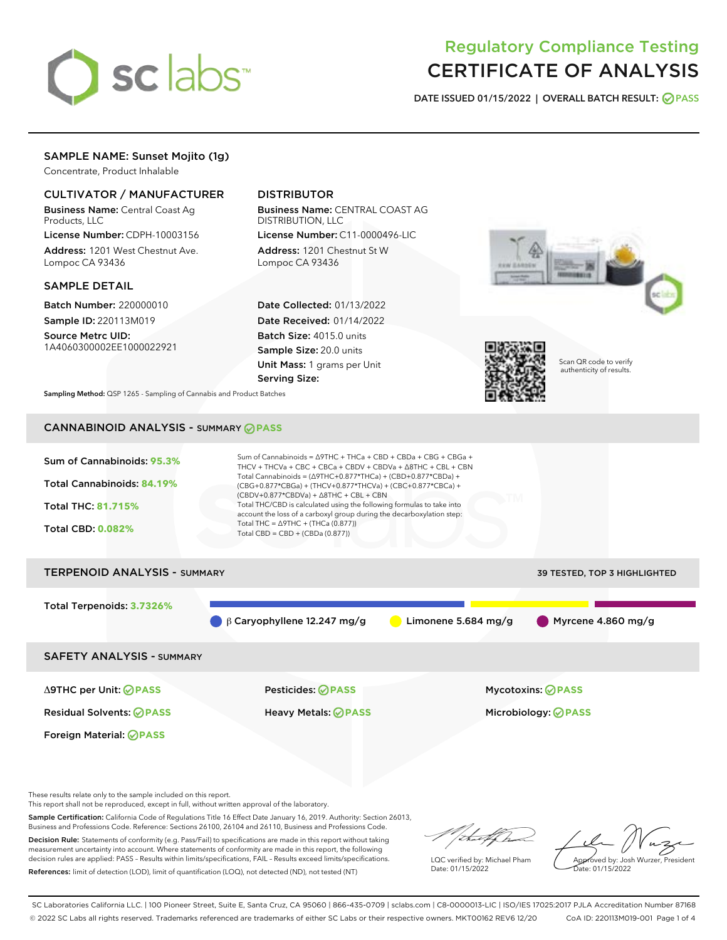

# Regulatory Compliance Testing CERTIFICATE OF ANALYSIS

DATE ISSUED 01/15/2022 | OVERALL BATCH RESULT: @ PASS

# SAMPLE NAME: Sunset Mojito (1g)

Concentrate, Product Inhalable

# CULTIVATOR / MANUFACTURER

Business Name: Central Coast Ag Products, LLC

License Number: CDPH-10003156 Address: 1201 West Chestnut Ave. Lompoc CA 93436

#### SAMPLE DETAIL

Batch Number: 220000010 Sample ID: 220113M019

Source Metrc UID: 1A4060300002EE1000022921

# DISTRIBUTOR

Business Name: CENTRAL COAST AG DISTRIBUTION, LLC

License Number: C11-0000496-LIC Address: 1201 Chestnut St W Lompoc CA 93436

Date Collected: 01/13/2022 Date Received: 01/14/2022 Batch Size: 4015.0 units Sample Size: 20.0 units Unit Mass: 1 grams per Unit Serving Size:





Scan QR code to verify authenticity of results.

Sampling Method: QSP 1265 - Sampling of Cannabis and Product Batches

# CANNABINOID ANALYSIS - SUMMARY **PASS**



Sample Certification: California Code of Regulations Title 16 Effect Date January 16, 2019. Authority: Section 26013, Business and Professions Code. Reference: Sections 26100, 26104 and 26110, Business and Professions Code.

Decision Rule: Statements of conformity (e.g. Pass/Fail) to specifications are made in this report without taking measurement uncertainty into account. Where statements of conformity are made in this report, the following decision rules are applied: PASS – Results within limits/specifications, FAIL – Results exceed limits/specifications. References: limit of detection (LOD), limit of quantification (LOQ), not detected (ND), not tested (NT)

LQC verified by: Michael Pham

Date: 01/15/2022

Approved by: Josh Wurzer, President ate: 01/15/2022

SC Laboratories California LLC. | 100 Pioneer Street, Suite E, Santa Cruz, CA 95060 | 866-435-0709 | sclabs.com | C8-0000013-LIC | ISO/IES 17025:2017 PJLA Accreditation Number 87168 © 2022 SC Labs all rights reserved. Trademarks referenced are trademarks of either SC Labs or their respective owners. MKT00162 REV6 12/20 CoA ID: 220113M019-001 Page 1 of 4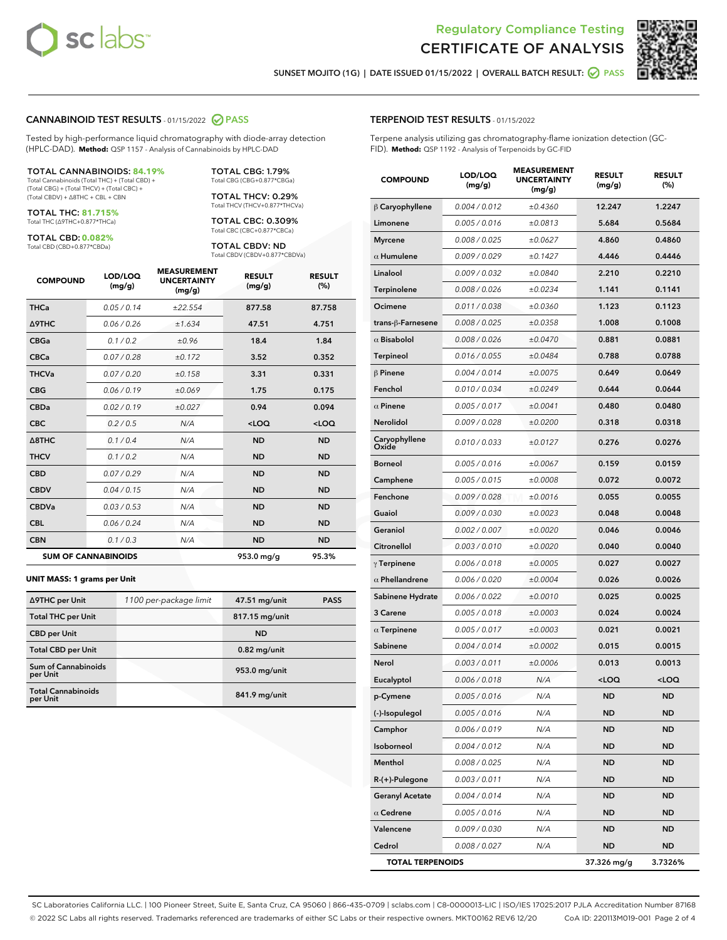



SUNSET MOJITO (1G) | DATE ISSUED 01/15/2022 | OVERALL BATCH RESULT: @ PASS

#### CANNABINOID TEST RESULTS - 01/15/2022 2 PASS

Tested by high-performance liquid chromatography with diode-array detection (HPLC-DAD). **Method:** QSP 1157 - Analysis of Cannabinoids by HPLC-DAD

#### TOTAL CANNABINOIDS: **84.19%**

Total Cannabinoids (Total THC) + (Total CBD) + (Total CBG) + (Total THCV) + (Total CBC) + (Total CBDV) + ∆8THC + CBL + CBN

TOTAL THC: **81.715%** Total THC (∆9THC+0.877\*THCa)

TOTAL CBD: **0.082%**

Total CBD (CBD+0.877\*CBDa)

TOTAL CBG: 1.79% Total CBG (CBG+0.877\*CBGa)

TOTAL THCV: 0.29% Total THCV (THCV+0.877\*THCVa)

TOTAL CBC: 0.309% Total CBC (CBC+0.877\*CBCa)

TOTAL CBDV: ND Total CBDV (CBDV+0.877\*CBDVa)

| <b>COMPOUND</b>  | LOD/LOO<br>(mg/g)          | <b>MEASUREMENT</b><br><b>UNCERTAINTY</b><br>(mg/g) | <b>RESULT</b><br>(mg/g) | <b>RESULT</b><br>(%) |
|------------------|----------------------------|----------------------------------------------------|-------------------------|----------------------|
| <b>THCa</b>      | 0.05/0.14                  | ±22.554                                            | 877.58                  | 87.758               |
| <b>A9THC</b>     | 0.06 / 0.26                | ±1.634                                             | 47.51                   | 4.751                |
| <b>CBGa</b>      | 0.1/0.2                    | ±0.96                                              | 18.4                    | 1.84                 |
| <b>CBCa</b>      | 0.07/0.28                  | ±0.172                                             | 3.52                    | 0.352                |
| <b>THCVa</b>     | 0.07/0.20                  | ±0.158                                             | 3.31                    | 0.331                |
| <b>CBG</b>       | 0.06 / 0.19                | ±0.069                                             | 1.75                    | 0.175                |
| <b>CBDa</b>      | 0.02 / 0.19                | ±0.027                                             | 0.94                    | 0.094                |
| <b>CBC</b>       | 0.2 / 0.5                  | N/A                                                | $<$ LOQ                 | $<$ LOQ              |
| $\triangle$ 8THC | 0.1/0.4                    | N/A                                                | <b>ND</b>               | <b>ND</b>            |
| <b>THCV</b>      | 0.1/0.2                    | N/A                                                | <b>ND</b>               | <b>ND</b>            |
| <b>CBD</b>       | 0.07/0.29                  | N/A                                                | <b>ND</b>               | <b>ND</b>            |
| <b>CBDV</b>      | 0.04 / 0.15                | N/A                                                | <b>ND</b>               | <b>ND</b>            |
| <b>CBDVa</b>     | 0.03 / 0.53                | N/A                                                | <b>ND</b>               | <b>ND</b>            |
| <b>CBL</b>       | 0.06 / 0.24                | N/A                                                | <b>ND</b>               | <b>ND</b>            |
| <b>CBN</b>       | 0.1/0.3                    | N/A                                                | <b>ND</b>               | <b>ND</b>            |
|                  | <b>SUM OF CANNABINOIDS</b> |                                                    | 953.0 mg/g              | 95.3%                |

#### **UNIT MASS: 1 grams per Unit**

| ∆9THC per Unit                        | 1100 per-package limit | 47.51 mg/unit  | <b>PASS</b> |
|---------------------------------------|------------------------|----------------|-------------|
| <b>Total THC per Unit</b>             |                        | 817.15 mg/unit |             |
| <b>CBD</b> per Unit                   |                        | <b>ND</b>      |             |
| <b>Total CBD per Unit</b>             |                        | $0.82$ mg/unit |             |
| Sum of Cannabinoids<br>per Unit       |                        | 953.0 mg/unit  |             |
| <b>Total Cannabinoids</b><br>per Unit |                        | 841.9 mg/unit  |             |

| <b>COMPOUND</b>        | <b>LOD/LOQ</b><br>(mg/g) | <b>UNCERTAINTY</b><br>(mg/g) | <b>RESULT</b><br>(mg/g)                         | <b>RESULT</b><br>$(\%)$ |
|------------------------|--------------------------|------------------------------|-------------------------------------------------|-------------------------|
| $\beta$ Caryophyllene  | 0.004 / 0.012            | ±0.4360                      | 12.247                                          | 1.2247                  |
| Limonene               | 0.005 / 0.016            | ±0.0813                      | 5.684                                           | 0.5684                  |
| Myrcene                | 0.008 / 0.025            | ±0.0627                      | 4.860                                           | 0.4860                  |
| $\alpha$ Humulene      | 0.009/0.029              | ±0.1427                      | 4.446                                           | 0.4446                  |
| Linalool               | 0.009 / 0.032            | ±0.0840                      | 2.210                                           | 0.2210                  |
| Terpinolene            | 0.008 / 0.026            | ±0.0234                      | 1.141                                           | 0.1141                  |
| Ocimene                | 0.011 / 0.038            | ±0.0360                      | 1.123                                           | 0.1123                  |
| trans-ß-Farnesene      | 0.008 / 0.025            | ±0.0358                      | 1.008                                           | 0.1008                  |
| $\alpha$ Bisabolol     | 0.008 / 0.026            | ±0.0470                      | 0.881                                           | 0.0881                  |
| Terpineol              | 0.016 / 0.055            | ±0.0484                      | 0.788                                           | 0.0788                  |
| $\beta$ Pinene         | 0.004 / 0.014            | ±0.0075                      | 0.649                                           | 0.0649                  |
| Fenchol                | 0.010 / 0.034            | ±0.0249                      | 0.644                                           | 0.0644                  |
| $\alpha$ Pinene        | 0.005 / 0.017            | ±0.0041                      | 0.480                                           | 0.0480                  |
| Nerolidol              | 0.009 / 0.028            | ±0.0200                      | 0.318                                           | 0.0318                  |
| Caryophyllene<br>Oxide | 0.010 / 0.033            | ±0.0127                      | 0.276                                           | 0.0276                  |
| Borneol                | 0.005 / 0.016            | ±0.0067                      | 0.159                                           | 0.0159                  |
| Camphene               | 0.005 / 0.015            | ±0.0008                      | 0.072                                           | 0.0072                  |
| Fenchone               | 0.009 / 0.028            | ±0.0016                      | 0.055                                           | 0.0055                  |
| Guaiol                 | 0.009 / 0.030            | ±0.0023                      | 0.048                                           | 0.0048                  |
| Geraniol               | 0.002 / 0.007            | ±0.0020                      | 0.046                                           | 0.0046                  |
| Citronellol            | 0.003 / 0.010            | ±0.0020                      | 0.040                                           | 0.0040                  |
| $\gamma$ Terpinene     | 0.006 / 0.018            | ±0.0005                      | 0.027                                           | 0.0027                  |
| $\alpha$ Phellandrene  | 0.006 / 0.020            | ±0.0004                      | 0.026                                           | 0.0026                  |
| Sabinene Hydrate       | 0.006 / 0.022            | ±0.0010                      | 0.025                                           | 0.0025                  |
| <b>3 Carene</b>        | 0.005 / 0.018            | ±0.0003                      | 0.024                                           | 0.0024                  |
| $\alpha$ Terpinene     | 0.005 / 0.017            | ±0.0003                      | 0.021                                           | 0.0021                  |
| Sabinene               | 0.004 / 0.014            | ±0.0002                      | 0.015                                           | 0.0015                  |
| Nerol                  | 0.003 / 0.011            | ±0.0006                      | 0.013                                           | 0.0013                  |
| Eucalyptol             | 0.006 / 0.018            | N/A                          | <loq< th=""><th><loq< th=""></loq<></th></loq<> | <loq< th=""></loq<>     |
| p-Cymene               | 0.005 / 0.016            | N/A                          | <b>ND</b>                                       | <b>ND</b>               |
| (-)-Isopulegol         | 0.005 / 0.016            | N/A                          | <b>ND</b>                                       | ND                      |
| Camphor                | 0.006 / 0.019            | N/A                          | ND                                              | ND                      |
| Isoborneol             | 0.004 / 0.012            | N/A                          | <b>ND</b>                                       | <b>ND</b>               |
| Menthol                | 0.008 / 0.025            | N/A                          | <b>ND</b>                                       | <b>ND</b>               |
| $R-(+)$ -Pulegone      | 0.003 / 0.011            | N/A                          | ND                                              | ND                      |
| <b>Geranyl Acetate</b> | 0.004 / 0.014            | N/A                          | <b>ND</b>                                       | ND                      |
| $\alpha$ Cedrene       | 0.005 / 0.016            | N/A                          | <b>ND</b>                                       | <b>ND</b>               |
| Valencene              | 0.009 / 0.030            | N/A                          | ND                                              | ND                      |
| Cedrol                 | 0.008 / 0.027            | N/A                          | <b>ND</b>                                       | ND                      |

TOTAL TERPENOIDS 37.326 mg/g 3.7326%

SC Laboratories California LLC. | 100 Pioneer Street, Suite E, Santa Cruz, CA 95060 | 866-435-0709 | sclabs.com | C8-0000013-LIC | ISO/IES 17025:2017 PJLA Accreditation Number 87168 © 2022 SC Labs all rights reserved. Trademarks referenced are trademarks of either SC Labs or their respective owners. MKT00162 REV6 12/20 CoA ID: 220113M019-001 Page 2 of 4

# TERPENOID TEST RESULTS - 01/15/2022

Terpene analysis utilizing gas chromatography-flame ionization detection (GC-FID). **Method:** QSP 1192 - Analysis of Terpenoids by GC-FID

MEASUREMENT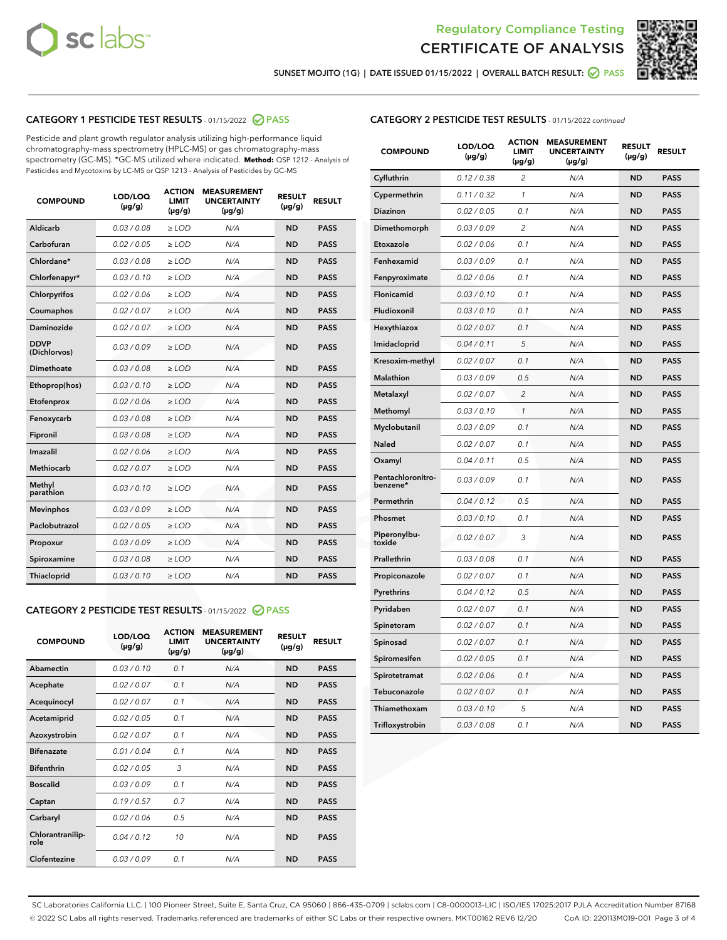



SUNSET MOJITO (1G) | DATE ISSUED 01/15/2022 | OVERALL BATCH RESULT: @ PASS

# CATEGORY 1 PESTICIDE TEST RESULTS - 01/15/2022 2 PASS

Pesticide and plant growth regulator analysis utilizing high-performance liquid chromatography-mass spectrometry (HPLC-MS) or gas chromatography-mass spectrometry (GC-MS). \*GC-MS utilized where indicated. **Method:** QSP 1212 - Analysis of Pesticides and Mycotoxins by LC-MS or QSP 1213 - Analysis of Pesticides by GC-MS

| <b>COMPOUND</b>             | LOD/LOQ<br>$(\mu g/g)$ | <b>ACTION</b><br><b>LIMIT</b><br>$(\mu g/g)$ | <b>MEASUREMENT</b><br><b>UNCERTAINTY</b><br>$(\mu g/g)$ | <b>RESULT</b><br>$(\mu g/g)$ | <b>RESULT</b> |
|-----------------------------|------------------------|----------------------------------------------|---------------------------------------------------------|------------------------------|---------------|
| Aldicarb                    | 0.03 / 0.08            | $\ge$ LOD                                    | N/A                                                     | <b>ND</b>                    | <b>PASS</b>   |
| Carbofuran                  | 0.02/0.05              | $>$ LOD                                      | N/A                                                     | <b>ND</b>                    | <b>PASS</b>   |
| Chlordane*                  | 0.03 / 0.08            | $\ge$ LOD                                    | N/A                                                     | <b>ND</b>                    | <b>PASS</b>   |
| Chlorfenapyr*               | 0.03/0.10              | $>$ LOD                                      | N/A                                                     | <b>ND</b>                    | <b>PASS</b>   |
| Chlorpyrifos                | 0.02 / 0.06            | $\ge$ LOD                                    | N/A                                                     | <b>ND</b>                    | <b>PASS</b>   |
| Coumaphos                   | 0.02 / 0.07            | $\ge$ LOD                                    | N/A                                                     | <b>ND</b>                    | <b>PASS</b>   |
| Daminozide                  | 0.02 / 0.07            | $\ge$ LOD                                    | N/A                                                     | <b>ND</b>                    | <b>PASS</b>   |
| <b>DDVP</b><br>(Dichlorvos) | 0.03/0.09              | $\ge$ LOD                                    | N/A                                                     | <b>ND</b>                    | <b>PASS</b>   |
| Dimethoate                  | 0.03/0.08              | $>$ LOD                                      | N/A                                                     | <b>ND</b>                    | <b>PASS</b>   |
| Ethoprop(hos)               | 0.03/0.10              | $\ge$ LOD                                    | N/A                                                     | <b>ND</b>                    | <b>PASS</b>   |
| Etofenprox                  | 0.02 / 0.06            | $\ge$ LOD                                    | N/A                                                     | <b>ND</b>                    | <b>PASS</b>   |
| Fenoxycarb                  | 0.03 / 0.08            | $\ge$ LOD                                    | N/A                                                     | <b>ND</b>                    | <b>PASS</b>   |
| Fipronil                    | 0.03/0.08              | $>$ LOD                                      | N/A                                                     | <b>ND</b>                    | <b>PASS</b>   |
| Imazalil                    | 0.02 / 0.06            | $\ge$ LOD                                    | N/A                                                     | <b>ND</b>                    | <b>PASS</b>   |
| <b>Methiocarb</b>           | 0.02 / 0.07            | $\ge$ LOD                                    | N/A                                                     | <b>ND</b>                    | <b>PASS</b>   |
| Methyl<br>parathion         | 0.03/0.10              | $\ge$ LOD                                    | N/A                                                     | <b>ND</b>                    | <b>PASS</b>   |
| <b>Mevinphos</b>            | 0.03/0.09              | $>$ LOD                                      | N/A                                                     | <b>ND</b>                    | <b>PASS</b>   |
| Paclobutrazol               | 0.02 / 0.05            | $\ge$ LOD                                    | N/A                                                     | <b>ND</b>                    | <b>PASS</b>   |
| Propoxur                    | 0.03/0.09              | $\ge$ LOD                                    | N/A                                                     | <b>ND</b>                    | <b>PASS</b>   |
| Spiroxamine                 | 0.03 / 0.08            | $\ge$ LOD                                    | N/A                                                     | <b>ND</b>                    | <b>PASS</b>   |
| Thiacloprid                 | 0.03/0.10              | $\ge$ LOD                                    | N/A                                                     | <b>ND</b>                    | <b>PASS</b>   |

#### CATEGORY 2 PESTICIDE TEST RESULTS - 01/15/2022 2 PASS

| <b>COMPOUND</b>          | LOD/LOO<br>$(\mu g/g)$ | <b>ACTION</b><br>LIMIT<br>$(\mu g/g)$ | <b>MEASUREMENT</b><br><b>UNCERTAINTY</b><br>$(\mu g/g)$ | <b>RESULT</b><br>$(\mu g/g)$ | <b>RESULT</b> |
|--------------------------|------------------------|---------------------------------------|---------------------------------------------------------|------------------------------|---------------|
| Abamectin                | 0.03/0.10              | 0.1                                   | N/A                                                     | <b>ND</b>                    | <b>PASS</b>   |
| Acephate                 | 0.02/0.07              | 0.1                                   | N/A                                                     | <b>ND</b>                    | <b>PASS</b>   |
| Acequinocyl              | 0.02/0.07              | 0.1                                   | N/A                                                     | <b>ND</b>                    | <b>PASS</b>   |
| Acetamiprid              | 0.02 / 0.05            | 0.1                                   | N/A                                                     | <b>ND</b>                    | <b>PASS</b>   |
| Azoxystrobin             | 0.02/0.07              | 0.1                                   | N/A                                                     | <b>ND</b>                    | <b>PASS</b>   |
| <b>Bifenazate</b>        | 0.01 / 0.04            | 0.1                                   | N/A                                                     | <b>ND</b>                    | <b>PASS</b>   |
| <b>Bifenthrin</b>        | 0.02/0.05              | 3                                     | N/A                                                     | <b>ND</b>                    | <b>PASS</b>   |
| <b>Boscalid</b>          | 0.03/0.09              | 0.1                                   | N/A                                                     | <b>ND</b>                    | <b>PASS</b>   |
| Captan                   | 0.19/0.57              | 0.7                                   | N/A                                                     | <b>ND</b>                    | <b>PASS</b>   |
| Carbaryl                 | 0.02/0.06              | 0.5                                   | N/A                                                     | <b>ND</b>                    | <b>PASS</b>   |
| Chlorantranilip-<br>role | 0.04/0.12              | 10                                    | N/A                                                     | <b>ND</b>                    | <b>PASS</b>   |
| Clofentezine             | 0.03/0.09              | 0.1                                   | N/A                                                     | <b>ND</b>                    | <b>PASS</b>   |

# CATEGORY 2 PESTICIDE TEST RESULTS - 01/15/2022 continued

| <b>COMPOUND</b>               | LOD/LOQ<br>(µg/g) | <b>ACTION</b><br><b>LIMIT</b><br>$(\mu g/g)$ | <b>MEASUREMENT</b><br><b>UNCERTAINTY</b><br>$(\mu g/g)$ | <b>RESULT</b><br>(µg/g) | <b>RESULT</b> |
|-------------------------------|-------------------|----------------------------------------------|---------------------------------------------------------|-------------------------|---------------|
| Cyfluthrin                    | 0.12 / 0.38       | $\overline{c}$                               | N/A                                                     | <b>ND</b>               | <b>PASS</b>   |
| Cypermethrin                  | 0.11 / 0.32       | 1                                            | N/A                                                     | ND                      | <b>PASS</b>   |
| <b>Diazinon</b>               | 0.02 / 0.05       | 0.1                                          | N/A                                                     | ND                      | <b>PASS</b>   |
| Dimethomorph                  | 0.03 / 0.09       | 2                                            | N/A                                                     | ND                      | <b>PASS</b>   |
| Etoxazole                     | 0.02 / 0.06       | 0.1                                          | N/A                                                     | ND                      | <b>PASS</b>   |
| Fenhexamid                    | 0.03 / 0.09       | 0.1                                          | N/A                                                     | <b>ND</b>               | <b>PASS</b>   |
| Fenpyroximate                 | 0.02 / 0.06       | 0.1                                          | N/A                                                     | <b>ND</b>               | <b>PASS</b>   |
| Flonicamid                    | 0.03 / 0.10       | 0.1                                          | N/A                                                     | ND                      | <b>PASS</b>   |
| Fludioxonil                   | 0.03 / 0.10       | 0.1                                          | N/A                                                     | <b>ND</b>               | <b>PASS</b>   |
| Hexythiazox                   | 0.02 / 0.07       | 0.1                                          | N/A                                                     | <b>ND</b>               | <b>PASS</b>   |
| Imidacloprid                  | 0.04 / 0.11       | 5                                            | N/A                                                     | <b>ND</b>               | <b>PASS</b>   |
| Kresoxim-methyl               | 0.02 / 0.07       | 0.1                                          | N/A                                                     | <b>ND</b>               | <b>PASS</b>   |
| <b>Malathion</b>              | 0.03 / 0.09       | 0.5                                          | N/A                                                     | <b>ND</b>               | <b>PASS</b>   |
| Metalaxyl                     | 0.02 / 0.07       | $\overline{c}$                               | N/A                                                     | ND                      | <b>PASS</b>   |
| Methomyl                      | 0.03 / 0.10       | 1                                            | N/A                                                     | <b>ND</b>               | <b>PASS</b>   |
| Myclobutanil                  | 0.03 / 0.09       | 0.1                                          | N/A                                                     | <b>ND</b>               | <b>PASS</b>   |
| Naled                         | 0.02 / 0.07       | 0.1                                          | N/A                                                     | ND                      | <b>PASS</b>   |
| Oxamyl                        | 0.04 / 0.11       | 0.5                                          | N/A                                                     | ND                      | <b>PASS</b>   |
| Pentachloronitro-<br>benzene* | 0.03 / 0.09       | 0.1                                          | N/A                                                     | ND                      | <b>PASS</b>   |
| Permethrin                    | 0.04 / 0.12       | 0.5                                          | N/A                                                     | <b>ND</b>               | <b>PASS</b>   |
| Phosmet                       | 0.03 / 0.10       | 0.1                                          | N/A                                                     | <b>ND</b>               | <b>PASS</b>   |
| Piperonylbu-<br>toxide        | 0.02 / 0.07       | 3                                            | N/A                                                     | <b>ND</b>               | <b>PASS</b>   |
| Prallethrin                   | 0.03 / 0.08       | 0.1                                          | N/A                                                     | <b>ND</b>               | <b>PASS</b>   |
| Propiconazole                 | 0.02 / 0.07       | 0.1                                          | N/A                                                     | ND                      | <b>PASS</b>   |
| Pyrethrins                    | 0.04 / 0.12       | 0.5                                          | N/A                                                     | ND                      | <b>PASS</b>   |
| Pyridaben                     | 0.02 / 0.07       | 0.1                                          | N/A                                                     | ND                      | <b>PASS</b>   |
| Spinetoram                    | 0.02 / 0.07       | 0.1                                          | N/A                                                     | <b>ND</b>               | <b>PASS</b>   |
| Spinosad                      | 0.02 / 0.07       | 0.1                                          | N/A                                                     | ND                      | <b>PASS</b>   |
| Spiromesifen                  | 0.02 / 0.05       | 0.1                                          | N/A                                                     | <b>ND</b>               | <b>PASS</b>   |
| Spirotetramat                 | 0.02 / 0.06       | 0.1                                          | N/A                                                     | <b>ND</b>               | <b>PASS</b>   |
| Tebuconazole                  | 0.02 / 0.07       | 0.1                                          | N/A                                                     | ND                      | <b>PASS</b>   |
| Thiamethoxam                  | 0.03 / 0.10       | 5                                            | N/A                                                     | <b>ND</b>               | <b>PASS</b>   |
| Trifloxystrobin               | 0.03 / 0.08       | 0.1                                          | N/A                                                     | <b>ND</b>               | <b>PASS</b>   |

SC Laboratories California LLC. | 100 Pioneer Street, Suite E, Santa Cruz, CA 95060 | 866-435-0709 | sclabs.com | C8-0000013-LIC | ISO/IES 17025:2017 PJLA Accreditation Number 87168 © 2022 SC Labs all rights reserved. Trademarks referenced are trademarks of either SC Labs or their respective owners. MKT00162 REV6 12/20 CoA ID: 220113M019-001 Page 3 of 4